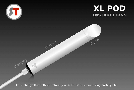

xl pod

Fully charge the battery before your first use to ensure long battery life.

battery

chargin